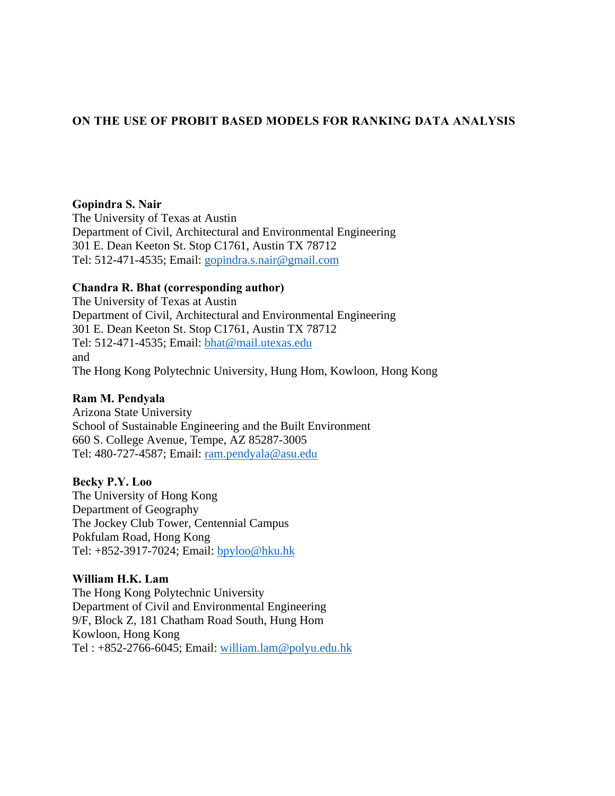# **ON THE USE OF PROBIT BASED MODELS FOR RANKING DATA ANALYSIS**

### **Gopindra S. Nair**

The University of Texas at Austin Department of Civil, Architectural and Environmental Engineering 301 E. Dean Keeton St. Stop C1761, Austin TX 78712 Tel: 512-471-4535; Email: gopindra.s.nair@gmail.com

# **Chandra R. Bhat (corresponding author)**

The University of Texas at Austin Department of Civil, Architectural and Environmental Engineering 301 E. Dean Keeton St. Stop C1761, Austin TX 78712 Tel: 512-471-4535; Email: bhat@mail.utexas.edu and The Hong Kong Polytechnic University, Hung Hom, Kowloon, Hong Kong

# **Ram M. Pendyala**

Arizona State University School of Sustainable Engineering and the Built Environment 660 S. College Avenue, Tempe, AZ 85287-3005 Tel: 480-727-4587; Email: ram.pendyala@asu.edu

# **Becky P.Y. Loo**

The University of Hong Kong Department of Geography The Jockey Club Tower, Centennial Campus Pokfulam Road, Hong Kong Tel: +852-3917-7024; Email: bpyloo@hku.hk

# **William H.K. Lam**

The Hong Kong Polytechnic University Department of Civil and Environmental Engineering 9/F, Block Z, 181 Chatham Road South, Hung Hom Kowloon, Hong Kong Tel : +852-2766-6045; Email: william.lam@polyu.edu.hk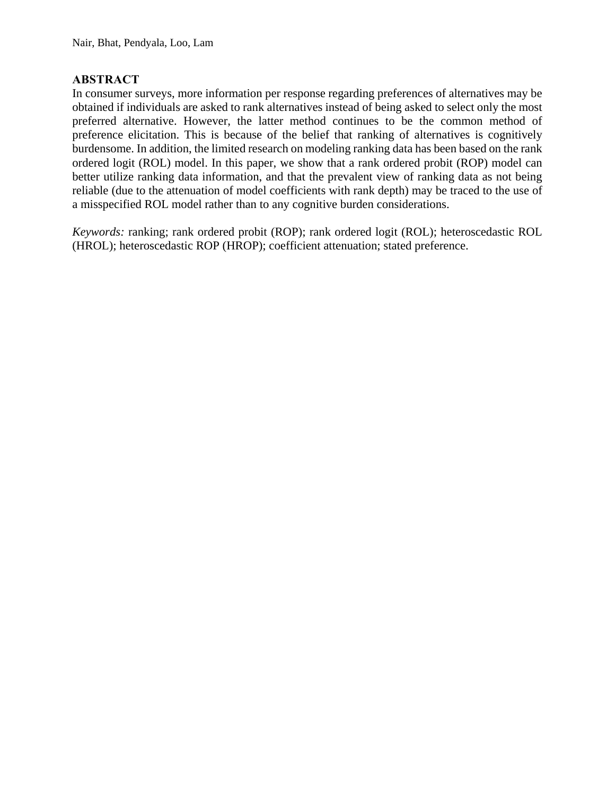# **ABSTRACT**

In consumer surveys, more information per response regarding preferences of alternatives may be obtained if individuals are asked to rank alternatives instead of being asked to select only the most preferred alternative. However, the latter method continues to be the common method of preference elicitation. This is because of the belief that ranking of alternatives is cognitively burdensome. In addition, the limited research on modeling ranking data has been based on the rank ordered logit (ROL) model. In this paper, we show that a rank ordered probit (ROP) model can better utilize ranking data information, and that the prevalent view of ranking data as not being reliable (due to the attenuation of model coefficients with rank depth) may be traced to the use of a misspecified ROL model rather than to any cognitive burden considerations.

*Keywords:* ranking; rank ordered probit (ROP); rank ordered logit (ROL); heteroscedastic ROL (HROL); heteroscedastic ROP (HROP); coefficient attenuation; stated preference.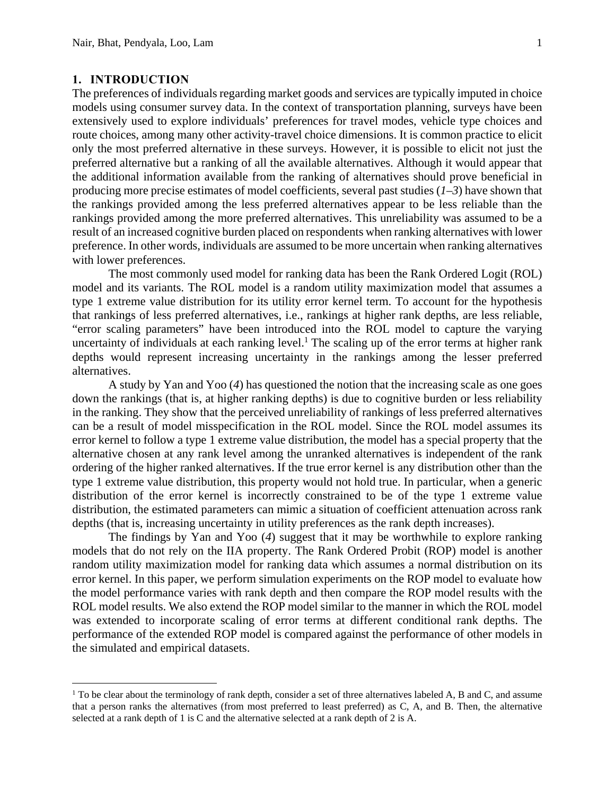#### **1. INTRODUCTION**

 $\overline{a}$ 

The preferences of individuals regarding market goods and services are typically imputed in choice models using consumer survey data. In the context of transportation planning, surveys have been extensively used to explore individuals' preferences for travel modes, vehicle type choices and route choices, among many other activity-travel choice dimensions. It is common practice to elicit only the most preferred alternative in these surveys. However, it is possible to elicit not just the preferred alternative but a ranking of all the available alternatives. Although it would appear that the additional information available from the ranking of alternatives should prove beneficial in producing more precise estimates of model coefficients, several past studies (*1*–*3*) have shown that the rankings provided among the less preferred alternatives appear to be less reliable than the rankings provided among the more preferred alternatives. This unreliability was assumed to be a result of an increased cognitive burden placed on respondents when ranking alternatives with lower preference. In other words, individuals are assumed to be more uncertain when ranking alternatives with lower preferences.

The most commonly used model for ranking data has been the Rank Ordered Logit (ROL) model and its variants. The ROL model is a random utility maximization model that assumes a type 1 extreme value distribution for its utility error kernel term. To account for the hypothesis that rankings of less preferred alternatives, i.e., rankings at higher rank depths, are less reliable, "error scaling parameters" have been introduced into the ROL model to capture the varying uncertainty of individuals at each ranking level.<sup>1</sup> The scaling up of the error terms at higher rank depths would represent increasing uncertainty in the rankings among the lesser preferred alternatives.

A study by Yan and Yoo (*4*) has questioned the notion that the increasing scale as one goes down the rankings (that is, at higher ranking depths) is due to cognitive burden or less reliability in the ranking. They show that the perceived unreliability of rankings of less preferred alternatives can be a result of model misspecification in the ROL model. Since the ROL model assumes its error kernel to follow a type 1 extreme value distribution, the model has a special property that the alternative chosen at any rank level among the unranked alternatives is independent of the rank ordering of the higher ranked alternatives. If the true error kernel is any distribution other than the type 1 extreme value distribution, this property would not hold true. In particular, when a generic distribution of the error kernel is incorrectly constrained to be of the type 1 extreme value distribution, the estimated parameters can mimic a situation of coefficient attenuation across rank depths (that is, increasing uncertainty in utility preferences as the rank depth increases).

The findings by Yan and Yoo (*4*) suggest that it may be worthwhile to explore ranking models that do not rely on the IIA property. The Rank Ordered Probit (ROP) model is another random utility maximization model for ranking data which assumes a normal distribution on its error kernel. In this paper, we perform simulation experiments on the ROP model to evaluate how the model performance varies with rank depth and then compare the ROP model results with the ROL model results. We also extend the ROP model similar to the manner in which the ROL model was extended to incorporate scaling of error terms at different conditional rank depths. The performance of the extended ROP model is compared against the performance of other models in the simulated and empirical datasets.

 $<sup>1</sup>$  To be clear about the terminology of rank depth, consider a set of three alternatives labeled A, B and C, and assume</sup> that a person ranks the alternatives (from most preferred to least preferred) as C, A, and B. Then, the alternative selected at a rank depth of 1 is C and the alternative selected at a rank depth of 2 is A.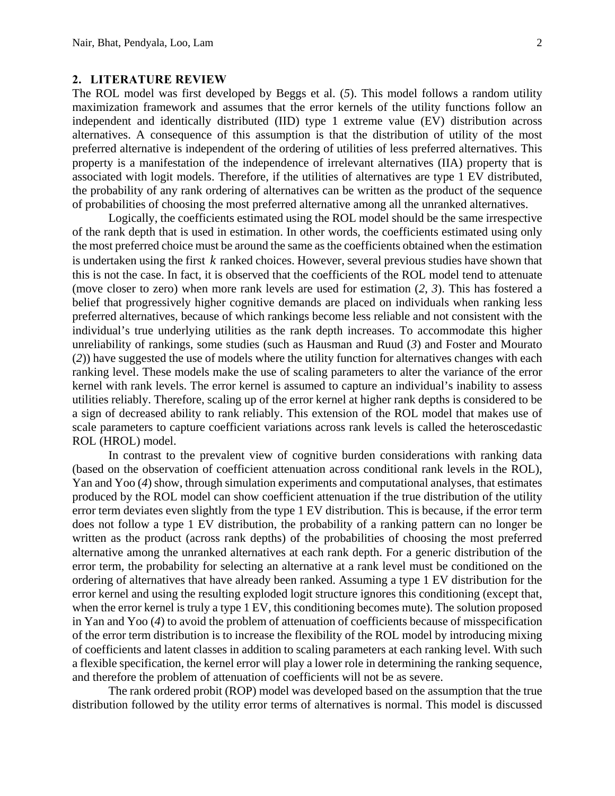#### **2. LITERATURE REVIEW**

The ROL model was first developed by Beggs et al. (*5*). This model follows a random utility maximization framework and assumes that the error kernels of the utility functions follow an independent and identically distributed (IID) type 1 extreme value (EV) distribution across alternatives. A consequence of this assumption is that the distribution of utility of the most preferred alternative is independent of the ordering of utilities of less preferred alternatives. This property is a manifestation of the independence of irrelevant alternatives (IIA) property that is associated with logit models. Therefore, if the utilities of alternatives are type 1 EV distributed, the probability of any rank ordering of alternatives can be written as the product of the sequence of probabilities of choosing the most preferred alternative among all the unranked alternatives.

Logically, the coefficients estimated using the ROL model should be the same irrespective of the rank depth that is used in estimation. In other words, the coefficients estimated using only the most preferred choice must be around the same as the coefficients obtained when the estimation is undertaken using the first *k* ranked choices. However, several previous studies have shown that this is not the case. In fact, it is observed that the coefficients of the ROL model tend to attenuate (move closer to zero) when more rank levels are used for estimation (*2*, *3*). This has fostered a belief that progressively higher cognitive demands are placed on individuals when ranking less preferred alternatives, because of which rankings become less reliable and not consistent with the individual's true underlying utilities as the rank depth increases. To accommodate this higher unreliability of rankings, some studies (such as Hausman and Ruud (*3*) and Foster and Mourato (*2*)) have suggested the use of models where the utility function for alternatives changes with each ranking level. These models make the use of scaling parameters to alter the variance of the error kernel with rank levels. The error kernel is assumed to capture an individual's inability to assess utilities reliably. Therefore, scaling up of the error kernel at higher rank depths is considered to be a sign of decreased ability to rank reliably. This extension of the ROL model that makes use of scale parameters to capture coefficient variations across rank levels is called the heteroscedastic ROL (HROL) model.

In contrast to the prevalent view of cognitive burden considerations with ranking data (based on the observation of coefficient attenuation across conditional rank levels in the ROL), Yan and Yoo (*4*) show, through simulation experiments and computational analyses, that estimates produced by the ROL model can show coefficient attenuation if the true distribution of the utility error term deviates even slightly from the type 1 EV distribution. This is because, if the error term does not follow a type 1 EV distribution, the probability of a ranking pattern can no longer be written as the product (across rank depths) of the probabilities of choosing the most preferred alternative among the unranked alternatives at each rank depth. For a generic distribution of the error term, the probability for selecting an alternative at a rank level must be conditioned on the ordering of alternatives that have already been ranked. Assuming a type 1 EV distribution for the error kernel and using the resulting exploded logit structure ignores this conditioning (except that, when the error kernel is truly a type 1 EV, this conditioning becomes mute). The solution proposed in Yan and Yoo (*4*) to avoid the problem of attenuation of coefficients because of misspecification of the error term distribution is to increase the flexibility of the ROL model by introducing mixing of coefficients and latent classes in addition to scaling parameters at each ranking level. With such a flexible specification, the kernel error will play a lower role in determining the ranking sequence, and therefore the problem of attenuation of coefficients will not be as severe.

The rank ordered probit (ROP) model was developed based on the assumption that the true distribution followed by the utility error terms of alternatives is normal. This model is discussed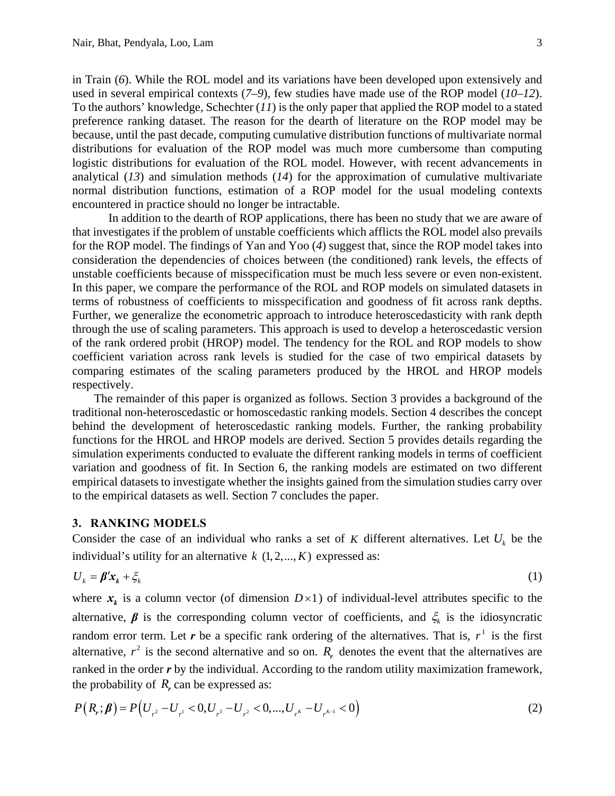in Train (*6*). While the ROL model and its variations have been developed upon extensively and used in several empirical contexts (*7–9*), few studies have made use of the ROP model (*10*–*12*). To the authors' knowledge, Schechter (*11*) is the only paper that applied the ROP model to a stated preference ranking dataset. The reason for the dearth of literature on the ROP model may be because, until the past decade, computing cumulative distribution functions of multivariate normal distributions for evaluation of the ROP model was much more cumbersome than computing logistic distributions for evaluation of the ROL model. However, with recent advancements in analytical (*13*) and simulation methods (*14*) for the approximation of cumulative multivariate normal distribution functions, estimation of a ROP model for the usual modeling contexts encountered in practice should no longer be intractable.

In addition to the dearth of ROP applications, there has been no study that we are aware of that investigates if the problem of unstable coefficients which afflicts the ROL model also prevails for the ROP model. The findings of Yan and Yoo (*4*) suggest that, since the ROP model takes into consideration the dependencies of choices between (the conditioned) rank levels, the effects of unstable coefficients because of misspecification must be much less severe or even non-existent. In this paper, we compare the performance of the ROL and ROP models on simulated datasets in terms of robustness of coefficients to misspecification and goodness of fit across rank depths. Further, we generalize the econometric approach to introduce heteroscedasticity with rank depth through the use of scaling parameters. This approach is used to develop a heteroscedastic version of the rank ordered probit (HROP) model. The tendency for the ROL and ROP models to show coefficient variation across rank levels is studied for the case of two empirical datasets by comparing estimates of the scaling parameters produced by the HROL and HROP models respectively.

The remainder of this paper is organized as follows. Section 3 provides a background of the traditional non-heteroscedastic or homoscedastic ranking models. Section 4 describes the concept behind the development of heteroscedastic ranking models. Further, the ranking probability functions for the HROL and HROP models are derived. Section 5 provides details regarding the simulation experiments conducted to evaluate the different ranking models in terms of coefficient variation and goodness of fit. In Section 6, the ranking models are estimated on two different empirical datasets to investigate whether the insights gained from the simulation studies carry over to the empirical datasets as well. Section 7 concludes the paper.

### **3. RANKING MODELS**

Consider the case of an individual who ranks a set of  $K$  different alternatives. Let  $U_k$  be the individual's utility for an alternative  $k$   $(1, 2, ..., K)$  expressed as:

$$
U_k = \beta' x_k + \xi_k \tag{1}
$$

where  $x_k$  is a column vector (of dimension  $D \times 1$ ) of individual-level attributes specific to the alternative,  $\beta$  is the corresponding column vector of coefficients, and  $\xi_k$  is the idiosyncratic random error term. Let  $r$  be a specific rank ordering of the alternatives. That is,  $r<sup>1</sup>$  is the first alternative,  $r^2$  is the second alternative and so on.  $R_r$  denotes the event that the alternatives are ranked in the order *r* by the individual. According to the random utility maximization framework, the probability of  $R_r$  can be expressed as:

$$
P(R_r; \beta) = P(U_{r^2} - U_{r^1} < 0, U_{r^3} - U_{r^2} < 0, \dots, U_{r^K} - U_{r^{K-1}} < 0) \tag{2}
$$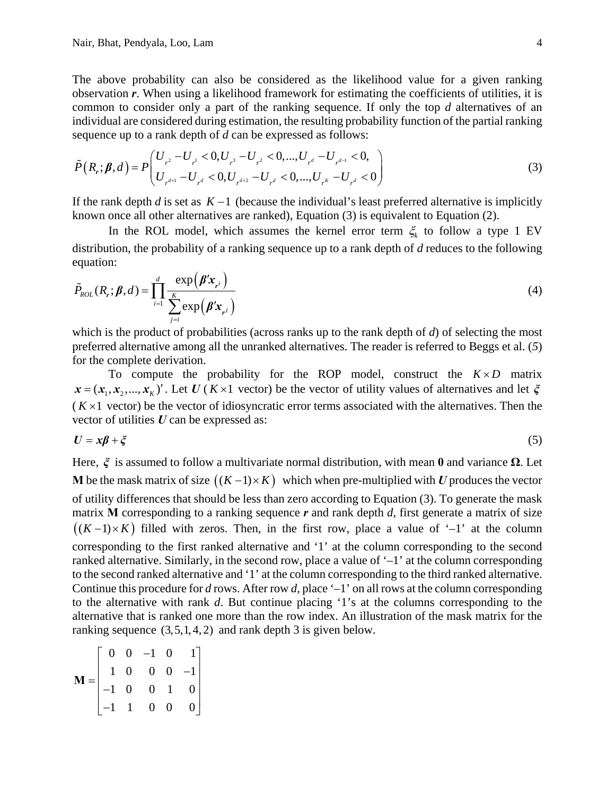The above probability can also be considered as the likelihood value for a given ranking observation *r*. When using a likelihood framework for estimating the coefficients of utilities, it is common to consider only a part of the ranking sequence. If only the top *d* alternatives of an individual are considered during estimation, the resulting probability function of the partial ranking sequence up to a rank depth of *d* can be expressed as follows:

$$
\tilde{P}(R_r; \beta, d) = P\left(\begin{matrix} U_{r^2} - U_{r^1} < 0, U_{r^3} - U_{r^2} < 0, \dots, U_{r^d} - U_{r^{d-1}} < 0, \\ U_{r^{d+1}} - U_{r^d} < 0, U_{r^{d+2}} - U_{r^d} < 0, \dots, U_{r^k} - U_{r^d} < 0 \end{matrix}\right) \tag{3}
$$

If the rank depth *d* is set as  $K-1$  (because the individual's least preferred alternative is implicitly known once all other alternatives are ranked), Equation (3) is equivalent to Equation (2).

In the ROL model, which assumes the kernel error term  $\xi_k$  to follow a type 1 EV distribution, the probability of a ranking sequence up to a rank depth of *d* reduces to the following equation:

$$
\tilde{P}_{ROL}(R_r; \boldsymbol{\beta}, d) = \prod_{i=1}^d \frac{\exp(\boldsymbol{\beta}' \mathbf{x}_{r^i})}{\sum_{j=i}^K \exp(\boldsymbol{\beta}' \mathbf{x}_{r^j})}
$$
(4)

which is the product of probabilities (across ranks up to the rank depth of *d*) of selecting the most preferred alternative among all the unranked alternatives. The reader is referred to Beggs et al. (*5*) for the complete derivation.

To compute the probability for the ROP model, construct the  $K \times D$  matrix  $x = (x_1, x_2, ..., x_k)'$ . Let *U* (*K* × 1 vector) be the vector of utility values of alternatives and let  $\xi$  $(K \times 1$  vector) be the vector of idiosyncratic error terms associated with the alternatives. Then the vector of utilities *U* can be expressed as:

$$
U = x\beta + \xi \tag{5}
$$

Here, *ξ* is assumed to follow a multivariate normal distribution, with mean **0** and variance **Ω**. Let **M** be the mask matrix of size  $((K-1)\times K)$  which when pre-multiplied with *U* produces the vector of utility differences that should be less than zero according to Equation (3). To generate the mask matrix **M** corresponding to a ranking sequence *r* and rank depth *d*, first generate a matrix of size  $((K-1)\times K)$  filled with zeros. Then, in the first row, place a value of '–1' at the column corresponding to the first ranked alternative and '1' at the column corresponding to the second ranked alternative. Similarly, in the second row, place a value of '–1' at the column corresponding to the second ranked alternative and '1' at the column corresponding to the third ranked alternative. Continue this procedure for *d* rows. After row *d*, place '–1' on all rows at the column corresponding to the alternative with rank *d*. But continue placing '1's at the columns corresponding to the alternative that is ranked one more than the row index. An illustration of the mask matrix for the ranking sequence  $(3,5,1,4,2)$  and rank depth 3 is given below.

$$
\mathbf{M} = \begin{bmatrix} 0 & 0 & -1 & 0 & 1 \\ 1 & 0 & 0 & 0 & -1 \\ -1 & 0 & 0 & 1 & 0 \\ -1 & 1 & 0 & 0 & 0 \end{bmatrix}
$$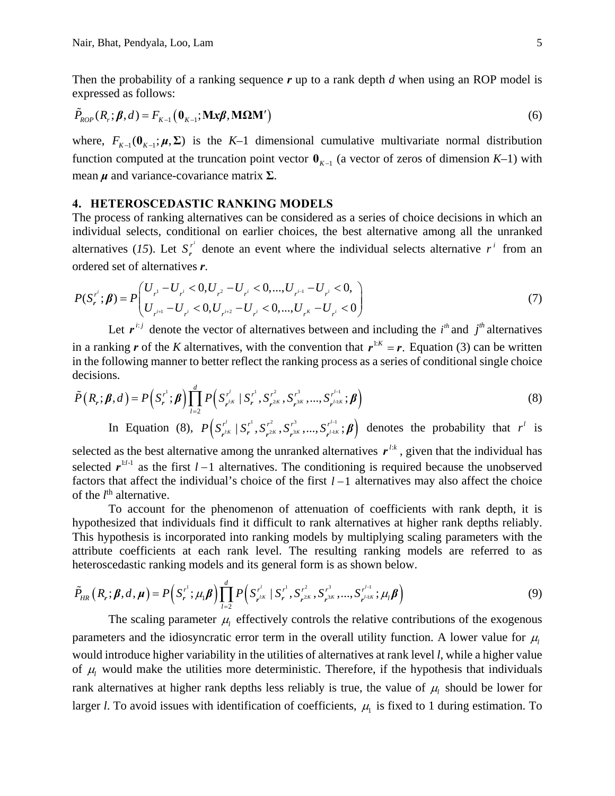Then the probability of a ranking sequence *r* up to a rank depth *d* when using an ROP model is expressed as follows:

$$
\tilde{P}_{ROP}(R_r; \beta, d) = F_{K-1}(\mathbf{0}_{K-1}; \mathbf{M}\mathbf{x}\beta, \mathbf{M}\Omega\mathbf{M}')\tag{6}
$$

where,  $F_{K-1}(\mathbf{0}_{K-1}; \mu, \Sigma)$  is the K-1 dimensional cumulative multivariate normal distribution function computed at the truncation point vector  $\mathbf{0}_{K-1}$  (a vector of zeros of dimension *K*–1) with mean *μ* and variance-covariance matrix **Σ**.

#### **4. HETEROSCEDASTIC RANKING MODELS**

The process of ranking alternatives can be considered as a series of choice decisions in which an individual selects, conditional on earlier choices, the best alternative among all the unranked alternatives (15). Let  $S_r^{r'}$  denote an event where the individual selects alternative  $r^i$  from an ordered set of alternatives *r*.

$$
P(S_r^{r^i}; \beta) = P\left(\begin{matrix} U_{r^1} - U_{r^i} < 0, U_{r^2} - U_{r^i} < 0, \dots, U_{r^{i-1}} - U_{r^i} < 0, \\ U_{r^{i+1}} - U_{r^i} < 0, U_{r^{i+2}} - U_{r^i} < 0, \dots, U_{r^k} - U_{r^i} < 0 \end{matrix}\right) \tag{7}
$$

Let  $r^{i:j}$  denote the vector of alternatives between and including the  $i^h$  and  $j^h$  alternatives in a ranking *r* of the *K* alternatives, with the convention that  $r^{1:K} = r$ . Equation (3) can be written in the following manner to better reflect the ranking process as a series of conditional single choice decisions.

$$
\tilde{P}(R_r; \beta, d) = P(S_r^{r^1}; \beta) \prod_{l=2}^d P(S_{r^{lK}}^{r^l} | S_r^{r^1}, S_{r^{2K}}^{r^2}, S_{r^{3K}}^{r^3}, ..., S_{r^{l-kK}}^{r^{l-1}}; \beta)
$$
\n(8)

In Equation (8),  $P(S_{r^{l,k}}^{r^l} | S_{r^{2k}}^{r^l}, S_{r^{2k}}^{r^3}, ..., S_{r^{l+k}}^{r^{l-1}}; \beta)$  denotes the probability that  $r^l$  is

selected as the best alternative among the unranked alternatives  $r^{l:k}$ , given that the individual has selected  $r^{1/1}$  as the first  $l-1$  alternatives. The conditioning is required because the unobserved factors that affect the individual's choice of the first  $l-1$  alternatives may also affect the choice of the *l*<sup>th</sup> alternative.

To account for the phenomenon of attenuation of coefficients with rank depth, it is hypothesized that individuals find it difficult to rank alternatives at higher rank depths reliably. This hypothesis is incorporated into ranking models by multiplying scaling parameters with the attribute coefficients at each rank level. The resulting ranking models are referred to as heteroscedastic ranking models and its general form is as shown below.

$$
\tilde{P}_{HR}\left(R_r;\boldsymbol{\beta},d,\boldsymbol{\mu}\right) = P\left(S_r^{r^1};\mu_1\boldsymbol{\beta}\right) \prod_{l=2}^d P\left(S_{r^{lK}}^{r^l} \mid S_r^{r^1}, S_{r^{2K}}^{r^2}, S_{r^{3K}}^{r^3},..., S_{r^{l+1K}}^{r^{l-1}}; \mu_l\boldsymbol{\beta}\right)
$$
\n(9)

The scaling parameter  $\mu$  effectively controls the relative contributions of the exogenous parameters and the idiosyncratic error term in the overall utility function. A lower value for  $\mu_l$ would introduce higher variability in the utilities of alternatives at rank level *l*, while a higher value of  $\mu$  would make the utilities more deterministic. Therefore, if the hypothesis that individuals rank alternatives at higher rank depths less reliably is true, the value of  $\mu_l$  should be lower for larger *l*. To avoid issues with identification of coefficients,  $\mu$ <sub>1</sub> is fixed to 1 during estimation. To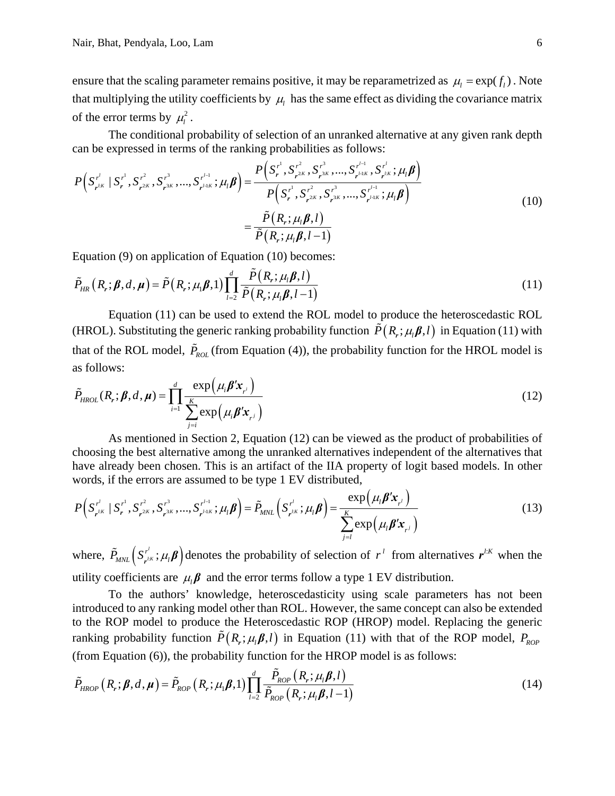ensure that the scaling parameter remains positive, it may be reparametrized as  $\mu_l = \exp(f_l)$ . Note that multiplying the utility coefficients by  $\mu$  has the same effect as dividing the covariance matrix of the error terms by  $\mu_i^2$ .

The conditional probability of selection of an unranked alternative at any given rank depth can be expressed in terms of the ranking probabilities as follows:

$$
P(S_{r^{l\kappa}}^{r^{l}} \mid S_{r}^{r^{1}}, S_{r^{2\kappa}}^{r^{2}}, S_{r^{3\kappa}}^{r^{3}}, ..., S_{r^{l+k}}^{r^{l-1}}; \mu_{l}\boldsymbol{\beta}) = \frac{P(S_{r}^{r^{1}}, S_{r^{2\kappa}}^{r^{2}}, S_{r^{3\kappa}}^{r^{3}}, ..., S_{r^{l+k}}^{r^{l}}; \mu_{l}\boldsymbol{\beta})}{P(S_{r}^{r^{1}}, S_{r^{2\kappa}}^{r^{2}}, S_{r^{3\kappa}}^{r^{3}}, ..., S_{r^{l+k}}^{r^{l-1}}; \mu_{l}\boldsymbol{\beta})}
$$
  

$$
= \frac{\tilde{P}(R_{r}; \mu_{l}\boldsymbol{\beta}, l)}{\tilde{P}(R_{r}; \mu_{l}\boldsymbol{\beta}, l-1)}
$$
(10)

Equation (9) on application of Equation (10) becomes:

$$
\tilde{P}_{HR}\left(R_r;\boldsymbol{\beta},d,\boldsymbol{\mu}\right) = \tilde{P}\left(R_r;\mu_1\boldsymbol{\beta},1\right) \prod_{l=2}^d \frac{\tilde{P}\left(R_r;\mu_l\boldsymbol{\beta},l\right)}{\tilde{P}\left(R_r;\mu_l\boldsymbol{\beta},l-1\right)}\tag{11}
$$

Equation (11) can be used to extend the ROL model to produce the heteroscedastic ROL (HROL). Substituting the generic ranking probability function  $\tilde{P}(R_r; \mu_l \beta, l)$  in Equation (11) with that of the ROL model,  $\tilde{P}_{ROL}$  (from Equation (4)), the probability function for the HROL model is as follows:

$$
\tilde{P}_{HROL}(R_r; \boldsymbol{\beta}, d, \boldsymbol{\mu}) = \prod_{i=1}^{d} \frac{\exp(\mu_i \boldsymbol{\beta}' \mathbf{x}_{r_i})}{\sum_{j=i}^{K} \exp(\mu_i \boldsymbol{\beta}' \mathbf{x}_{r_j})}
$$
(12)

As mentioned in Section 2, Equation (12) can be viewed as the product of probabilities of choosing the best alternative among the unranked alternatives independent of the alternatives that have already been chosen. This is an artifact of the IIA property of logit based models. In other words, if the errors are assumed to be type 1 EV distributed,

$$
P(S_{r^{lK}}^{r^{l}} | S_{r}^{r^{1}}, S_{r^{2K}}^{r^{2}}, S_{r^{3K}}^{r^{3}}, ..., S_{r^{l+k}}^{r^{l-1}}; \mu_{l} \beta) = \tilde{P}_{MNL}\left(S_{r^{lK}}^{r^{l}}; \mu_{l} \beta\right) = \frac{\exp(\mu_{l} \beta' \mathbf{x}_{r^{l}})}{\sum_{j=l}^{K} \exp(\mu_{l} \beta' \mathbf{x}_{r^{j}})}
$$
(13)

where,  $\tilde{P}_{MNL} (S_{\mathbf{r}^{l:K}}^{r^l}; \mu_l \boldsymbol{\beta})$  $\tilde{P}_{MNL}$   $(S_{r^{\ell,K}}^{r^{\ell}}; \mu_{l} \beta)$  denotes the probability of selection of  $r^{\ell}$  from alternatives  $r^{\ell,K}$  when the utility coefficients are  $\mu_i \beta$  and the error terms follow a type 1 EV distribution.

To the authors' knowledge, heteroscedasticity using scale parameters has not been introduced to any ranking model other than ROL. However, the same concept can also be extended to the ROP model to produce the Heteroscedastic ROP (HROP) model. Replacing the generic ranking probability function  $\tilde{P}(R_r; \mu_l \beta, l)$  in Equation (11) with that of the ROP model,  $P_{ROP}$ (from Equation (6)), the probability function for the HROP model is as follows:

$$
\tilde{P}_{HROP}\left(R_r;\boldsymbol{\beta},d,\boldsymbol{\mu}\right) = \tilde{P}_{ROP}\left(R_r;\mu_l\boldsymbol{\beta},1\right) \prod_{l=2}^d \frac{\tilde{P}_{ROP}\left(R_r;\mu_l\boldsymbol{\beta},l\right)}{\tilde{P}_{ROP}\left(R_r;\mu_l\boldsymbol{\beta},l-1\right)}
$$
\n(14)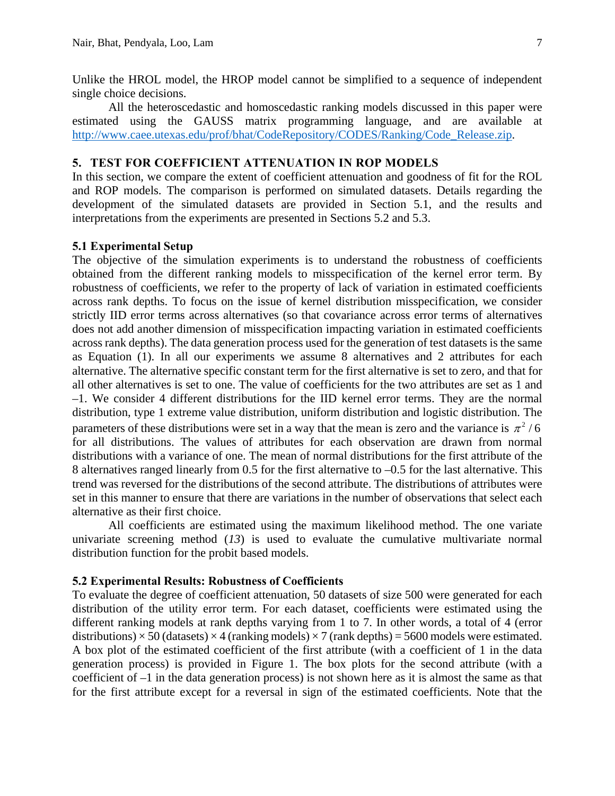Unlike the HROL model, the HROP model cannot be simplified to a sequence of independent single choice decisions.

All the heteroscedastic and homoscedastic ranking models discussed in this paper were estimated using the GAUSS matrix programming language, and are available at http://www.caee.utexas.edu/prof/bhat/CodeRepository/CODES/Ranking/Code\_Release.zip.

### **5. TEST FOR COEFFICIENT ATTENUATION IN ROP MODELS**

In this section, we compare the extent of coefficient attenuation and goodness of fit for the ROL and ROP models. The comparison is performed on simulated datasets. Details regarding the development of the simulated datasets are provided in Section 5.1, and the results and interpretations from the experiments are presented in Sections 5.2 and 5.3.

### **5.1 Experimental Setup**

The objective of the simulation experiments is to understand the robustness of coefficients obtained from the different ranking models to misspecification of the kernel error term. By robustness of coefficients, we refer to the property of lack of variation in estimated coefficients across rank depths. To focus on the issue of kernel distribution misspecification, we consider strictly IID error terms across alternatives (so that covariance across error terms of alternatives does not add another dimension of misspecification impacting variation in estimated coefficients across rank depths). The data generation process used for the generation of test datasets is the same as Equation (1). In all our experiments we assume 8 alternatives and 2 attributes for each alternative. The alternative specific constant term for the first alternative is set to zero, and that for all other alternatives is set to one. The value of coefficients for the two attributes are set as 1 and –1. We consider 4 different distributions for the IID kernel error terms. They are the normal distribution, type 1 extreme value distribution, uniform distribution and logistic distribution. The parameters of these distributions were set in a way that the mean is zero and the variance is  $\pi^2$  / 6 for all distributions. The values of attributes for each observation are drawn from normal distributions with a variance of one. The mean of normal distributions for the first attribute of the 8 alternatives ranged linearly from 0.5 for the first alternative to –0.5 for the last alternative. This trend was reversed for the distributions of the second attribute. The distributions of attributes were set in this manner to ensure that there are variations in the number of observations that select each alternative as their first choice.

All coefficients are estimated using the maximum likelihood method. The one variate univariate screening method (*13*) is used to evaluate the cumulative multivariate normal distribution function for the probit based models.

#### **5.2 Experimental Results: Robustness of Coefficients**

To evaluate the degree of coefficient attenuation, 50 datasets of size 500 were generated for each distribution of the utility error term. For each dataset, coefficients were estimated using the different ranking models at rank depths varying from 1 to 7. In other words, a total of 4 (error distributions)  $\times$  50 (datasets)  $\times$  4 (ranking models)  $\times$  7 (rank depths) = 5600 models were estimated. A box plot of the estimated coefficient of the first attribute (with a coefficient of 1 in the data generation process) is provided in Figure 1. The box plots for the second attribute (with a coefficient of –1 in the data generation process) is not shown here as it is almost the same as that for the first attribute except for a reversal in sign of the estimated coefficients. Note that the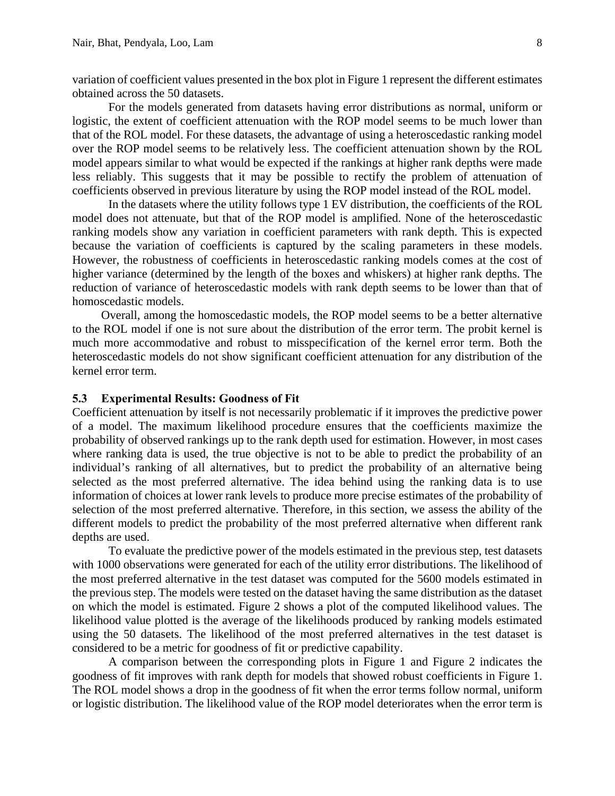variation of coefficient values presented in the box plot in Figure 1 represent the different estimates obtained across the 50 datasets.

For the models generated from datasets having error distributions as normal, uniform or logistic, the extent of coefficient attenuation with the ROP model seems to be much lower than that of the ROL model. For these datasets, the advantage of using a heteroscedastic ranking model over the ROP model seems to be relatively less. The coefficient attenuation shown by the ROL model appears similar to what would be expected if the rankings at higher rank depths were made less reliably. This suggests that it may be possible to rectify the problem of attenuation of coefficients observed in previous literature by using the ROP model instead of the ROL model.

In the datasets where the utility follows type 1 EV distribution, the coefficients of the ROL model does not attenuate, but that of the ROP model is amplified. None of the heteroscedastic ranking models show any variation in coefficient parameters with rank depth. This is expected because the variation of coefficients is captured by the scaling parameters in these models. However, the robustness of coefficients in heteroscedastic ranking models comes at the cost of higher variance (determined by the length of the boxes and whiskers) at higher rank depths. The reduction of variance of heteroscedastic models with rank depth seems to be lower than that of homoscedastic models.

Overall, among the homoscedastic models, the ROP model seems to be a better alternative to the ROL model if one is not sure about the distribution of the error term. The probit kernel is much more accommodative and robust to misspecification of the kernel error term. Both the heteroscedastic models do not show significant coefficient attenuation for any distribution of the kernel error term.

#### **5.3 Experimental Results: Goodness of Fit**

Coefficient attenuation by itself is not necessarily problematic if it improves the predictive power of a model. The maximum likelihood procedure ensures that the coefficients maximize the probability of observed rankings up to the rank depth used for estimation. However, in most cases where ranking data is used, the true objective is not to be able to predict the probability of an individual's ranking of all alternatives, but to predict the probability of an alternative being selected as the most preferred alternative. The idea behind using the ranking data is to use information of choices at lower rank levels to produce more precise estimates of the probability of selection of the most preferred alternative. Therefore, in this section, we assess the ability of the different models to predict the probability of the most preferred alternative when different rank depths are used.

To evaluate the predictive power of the models estimated in the previous step, test datasets with 1000 observations were generated for each of the utility error distributions. The likelihood of the most preferred alternative in the test dataset was computed for the 5600 models estimated in the previous step. The models were tested on the dataset having the same distribution as the dataset on which the model is estimated. Figure 2 shows a plot of the computed likelihood values. The likelihood value plotted is the average of the likelihoods produced by ranking models estimated using the 50 datasets. The likelihood of the most preferred alternatives in the test dataset is considered to be a metric for goodness of fit or predictive capability.

A comparison between the corresponding plots in Figure 1 and Figure 2 indicates the goodness of fit improves with rank depth for models that showed robust coefficients in Figure 1. The ROL model shows a drop in the goodness of fit when the error terms follow normal, uniform or logistic distribution. The likelihood value of the ROP model deteriorates when the error term is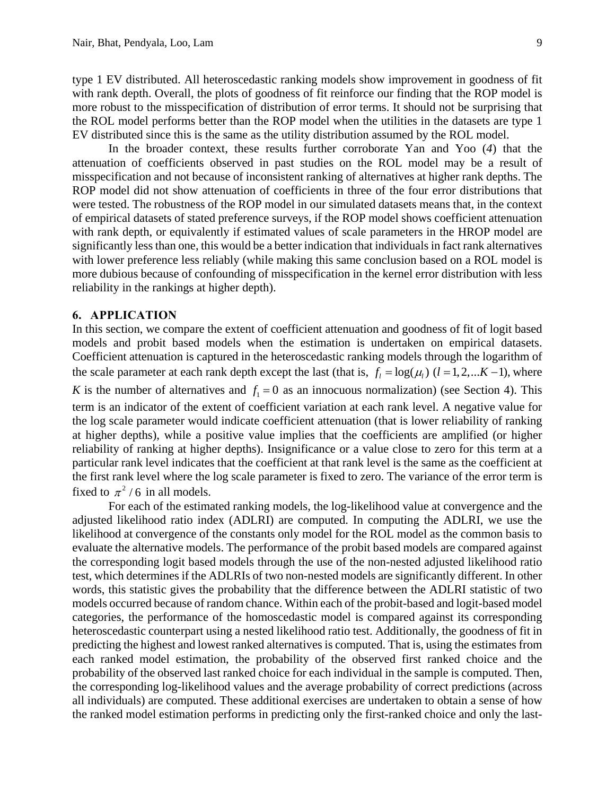type 1 EV distributed. All heteroscedastic ranking models show improvement in goodness of fit with rank depth. Overall, the plots of goodness of fit reinforce our finding that the ROP model is more robust to the misspecification of distribution of error terms. It should not be surprising that the ROL model performs better than the ROP model when the utilities in the datasets are type 1 EV distributed since this is the same as the utility distribution assumed by the ROL model.

In the broader context, these results further corroborate Yan and Yoo (*4*) that the attenuation of coefficients observed in past studies on the ROL model may be a result of misspecification and not because of inconsistent ranking of alternatives at higher rank depths. The ROP model did not show attenuation of coefficients in three of the four error distributions that were tested. The robustness of the ROP model in our simulated datasets means that, in the context of empirical datasets of stated preference surveys, if the ROP model shows coefficient attenuation with rank depth, or equivalently if estimated values of scale parameters in the HROP model are significantly less than one, this would be a better indication that individuals in fact rank alternatives with lower preference less reliably (while making this same conclusion based on a ROL model is more dubious because of confounding of misspecification in the kernel error distribution with less reliability in the rankings at higher depth).

### **6. APPLICATION**

In this section, we compare the extent of coefficient attenuation and goodness of fit of logit based models and probit based models when the estimation is undertaken on empirical datasets. Coefficient attenuation is captured in the heteroscedastic ranking models through the logarithm of the scale parameter at each rank depth except the last (that is,  $f_l = \log(\mu_l)$  ( $l = 1, 2, ... K - 1$ ), where *K* is the number of alternatives and  $f_1 = 0$  as an innocuous normalization) (see Section 4). This term is an indicator of the extent of coefficient variation at each rank level. A negative value for the log scale parameter would indicate coefficient attenuation (that is lower reliability of ranking at higher depths), while a positive value implies that the coefficients are amplified (or higher reliability of ranking at higher depths). Insignificance or a value close to zero for this term at a particular rank level indicates that the coefficient at that rank level is the same as the coefficient at the first rank level where the log scale parameter is fixed to zero. The variance of the error term is fixed to  $\pi^2/6$  in all models.

For each of the estimated ranking models, the log-likelihood value at convergence and the adjusted likelihood ratio index (ADLRI) are computed. In computing the ADLRI, we use the likelihood at convergence of the constants only model for the ROL model as the common basis to evaluate the alternative models. The performance of the probit based models are compared against the corresponding logit based models through the use of the non-nested adjusted likelihood ratio test, which determines if the ADLRIs of two non-nested models are significantly different. In other words, this statistic gives the probability that the difference between the ADLRI statistic of two models occurred because of random chance. Within each of the probit-based and logit-based model categories, the performance of the homoscedastic model is compared against its corresponding heteroscedastic counterpart using a nested likelihood ratio test. Additionally, the goodness of fit in predicting the highest and lowest ranked alternatives is computed. That is, using the estimates from each ranked model estimation, the probability of the observed first ranked choice and the probability of the observed last ranked choice for each individual in the sample is computed. Then, the corresponding log-likelihood values and the average probability of correct predictions (across all individuals) are computed. These additional exercises are undertaken to obtain a sense of how the ranked model estimation performs in predicting only the first-ranked choice and only the last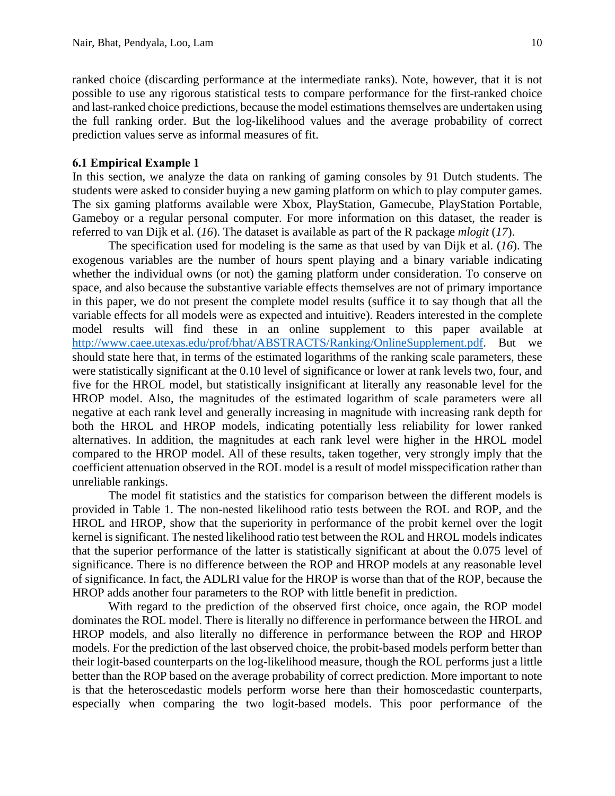ranked choice (discarding performance at the intermediate ranks). Note, however, that it is not possible to use any rigorous statistical tests to compare performance for the first-ranked choice and last-ranked choice predictions, because the model estimations themselves are undertaken using the full ranking order. But the log-likelihood values and the average probability of correct prediction values serve as informal measures of fit.

### **6.1 Empirical Example 1**

In this section, we analyze the data on ranking of gaming consoles by 91 Dutch students. The students were asked to consider buying a new gaming platform on which to play computer games. The six gaming platforms available were Xbox, PlayStation, Gamecube, PlayStation Portable, Gameboy or a regular personal computer. For more information on this dataset, the reader is referred to van Dijk et al. (*16*). The dataset is available as part of the R package *mlogit* (*17*).

The specification used for modeling is the same as that used by van Dijk et al. (*16*). The exogenous variables are the number of hours spent playing and a binary variable indicating whether the individual owns (or not) the gaming platform under consideration. To conserve on space, and also because the substantive variable effects themselves are not of primary importance in this paper, we do not present the complete model results (suffice it to say though that all the variable effects for all models were as expected and intuitive). Readers interested in the complete model results will find these in an online supplement to this paper available at http://www.caee.utexas.edu/prof/bhat/ABSTRACTS/Ranking/OnlineSupplement.pdf. But we should state here that, in terms of the estimated logarithms of the ranking scale parameters, these were statistically significant at the 0.10 level of significance or lower at rank levels two, four, and five for the HROL model, but statistically insignificant at literally any reasonable level for the HROP model. Also, the magnitudes of the estimated logarithm of scale parameters were all negative at each rank level and generally increasing in magnitude with increasing rank depth for both the HROL and HROP models, indicating potentially less reliability for lower ranked alternatives. In addition, the magnitudes at each rank level were higher in the HROL model compared to the HROP model. All of these results, taken together, very strongly imply that the coefficient attenuation observed in the ROL model is a result of model misspecification rather than unreliable rankings.

The model fit statistics and the statistics for comparison between the different models is provided in Table 1. The non-nested likelihood ratio tests between the ROL and ROP, and the HROL and HROP, show that the superiority in performance of the probit kernel over the logit kernel is significant. The nested likelihood ratio test between the ROL and HROL models indicates that the superior performance of the latter is statistically significant at about the 0.075 level of significance. There is no difference between the ROP and HROP models at any reasonable level of significance. In fact, the ADLRI value for the HROP is worse than that of the ROP, because the HROP adds another four parameters to the ROP with little benefit in prediction.

With regard to the prediction of the observed first choice, once again, the ROP model dominates the ROL model. There is literally no difference in performance between the HROL and HROP models, and also literally no difference in performance between the ROP and HROP models. For the prediction of the last observed choice, the probit-based models perform better than their logit-based counterparts on the log-likelihood measure, though the ROL performs just a little better than the ROP based on the average probability of correct prediction. More important to note is that the heteroscedastic models perform worse here than their homoscedastic counterparts, especially when comparing the two logit-based models. This poor performance of the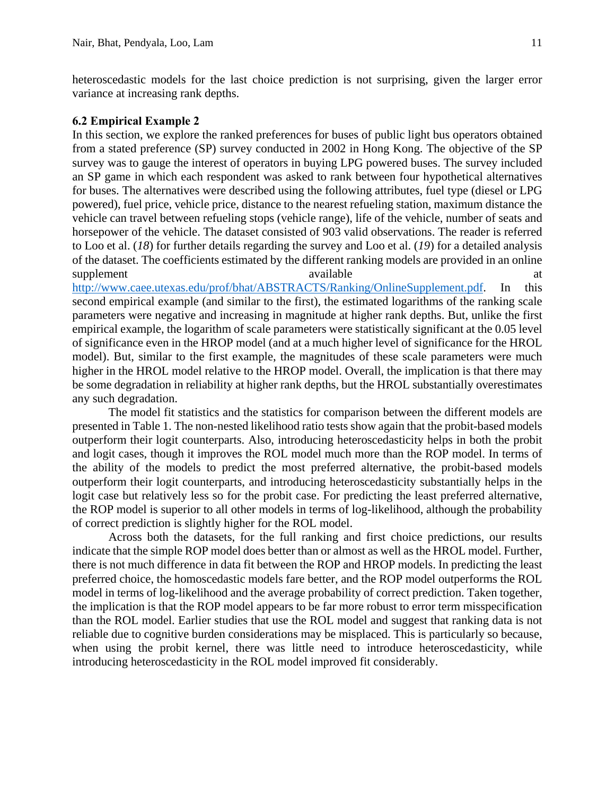heteroscedastic models for the last choice prediction is not surprising, given the larger error variance at increasing rank depths.

### **6.2 Empirical Example 2**

In this section, we explore the ranked preferences for buses of public light bus operators obtained from a stated preference (SP) survey conducted in 2002 in Hong Kong. The objective of the SP survey was to gauge the interest of operators in buying LPG powered buses. The survey included an SP game in which each respondent was asked to rank between four hypothetical alternatives for buses. The alternatives were described using the following attributes, fuel type (diesel or LPG powered), fuel price, vehicle price, distance to the nearest refueling station, maximum distance the vehicle can travel between refueling stops (vehicle range), life of the vehicle, number of seats and horsepower of the vehicle. The dataset consisted of 903 valid observations. The reader is referred to Loo et al. (*18*) for further details regarding the survey and Loo et al. (*19*) for a detailed analysis of the dataset. The coefficients estimated by the different ranking models are provided in an online supplement available available at  $\alpha$ 

http://www.caee.utexas.edu/prof/bhat/ABSTRACTS/Ranking/OnlineSupplement.pdf. In this second empirical example (and similar to the first), the estimated logarithms of the ranking scale parameters were negative and increasing in magnitude at higher rank depths. But, unlike the first empirical example, the logarithm of scale parameters were statistically significant at the 0.05 level of significance even in the HROP model (and at a much higher level of significance for the HROL model). But, similar to the first example, the magnitudes of these scale parameters were much higher in the HROL model relative to the HROP model. Overall, the implication is that there may be some degradation in reliability at higher rank depths, but the HROL substantially overestimates any such degradation.

The model fit statistics and the statistics for comparison between the different models are presented in Table 1. The non-nested likelihood ratio tests show again that the probit-based models outperform their logit counterparts. Also, introducing heteroscedasticity helps in both the probit and logit cases, though it improves the ROL model much more than the ROP model. In terms of the ability of the models to predict the most preferred alternative, the probit-based models outperform their logit counterparts, and introducing heteroscedasticity substantially helps in the logit case but relatively less so for the probit case. For predicting the least preferred alternative, the ROP model is superior to all other models in terms of log-likelihood, although the probability of correct prediction is slightly higher for the ROL model.

Across both the datasets, for the full ranking and first choice predictions, our results indicate that the simple ROP model does better than or almost as well as the HROL model. Further, there is not much difference in data fit between the ROP and HROP models. In predicting the least preferred choice, the homoscedastic models fare better, and the ROP model outperforms the ROL model in terms of log-likelihood and the average probability of correct prediction. Taken together, the implication is that the ROP model appears to be far more robust to error term misspecification than the ROL model. Earlier studies that use the ROL model and suggest that ranking data is not reliable due to cognitive burden considerations may be misplaced. This is particularly so because, when using the probit kernel, there was little need to introduce heteroscedasticity, while introducing heteroscedasticity in the ROL model improved fit considerably.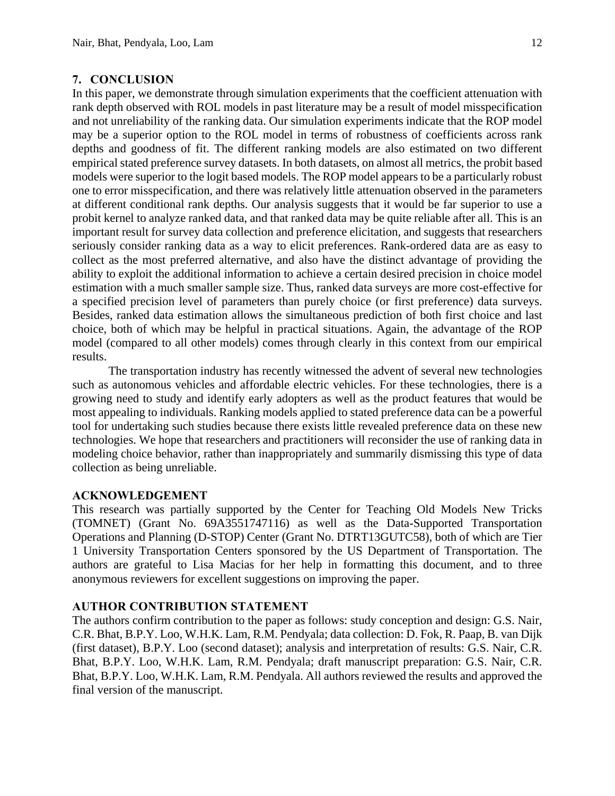### **7. CONCLUSION**

In this paper, we demonstrate through simulation experiments that the coefficient attenuation with rank depth observed with ROL models in past literature may be a result of model misspecification and not unreliability of the ranking data. Our simulation experiments indicate that the ROP model may be a superior option to the ROL model in terms of robustness of coefficients across rank depths and goodness of fit. The different ranking models are also estimated on two different empirical stated preference survey datasets. In both datasets, on almost all metrics, the probit based models were superior to the logit based models. The ROP model appears to be a particularly robust one to error misspecification, and there was relatively little attenuation observed in the parameters at different conditional rank depths. Our analysis suggests that it would be far superior to use a probit kernel to analyze ranked data, and that ranked data may be quite reliable after all. This is an important result for survey data collection and preference elicitation, and suggests that researchers seriously consider ranking data as a way to elicit preferences. Rank-ordered data are as easy to collect as the most preferred alternative, and also have the distinct advantage of providing the ability to exploit the additional information to achieve a certain desired precision in choice model estimation with a much smaller sample size. Thus, ranked data surveys are more cost-effective for a specified precision level of parameters than purely choice (or first preference) data surveys. Besides, ranked data estimation allows the simultaneous prediction of both first choice and last choice, both of which may be helpful in practical situations. Again, the advantage of the ROP model (compared to all other models) comes through clearly in this context from our empirical results.

The transportation industry has recently witnessed the advent of several new technologies such as autonomous vehicles and affordable electric vehicles. For these technologies, there is a growing need to study and identify early adopters as well as the product features that would be most appealing to individuals. Ranking models applied to stated preference data can be a powerful tool for undertaking such studies because there exists little revealed preference data on these new technologies. We hope that researchers and practitioners will reconsider the use of ranking data in modeling choice behavior, rather than inappropriately and summarily dismissing this type of data collection as being unreliable.

# **ACKNOWLEDGEMENT**

This research was partially supported by the Center for Teaching Old Models New Tricks (TOMNET) (Grant No. 69A3551747116) as well as the Data-Supported Transportation Operations and Planning (D-STOP) Center (Grant No. DTRT13GUTC58), both of which are Tier 1 University Transportation Centers sponsored by the US Department of Transportation. The authors are grateful to Lisa Macias for her help in formatting this document, and to three anonymous reviewers for excellent suggestions on improving the paper.

### **AUTHOR CONTRIBUTION STATEMENT**

The authors confirm contribution to the paper as follows: study conception and design: G.S. Nair, C.R. Bhat, B.P.Y. Loo, W.H.K. Lam, R.M. Pendyala; data collection: D. Fok, R. Paap, B. van Dijk (first dataset), B.P.Y. Loo (second dataset); analysis and interpretation of results: G.S. Nair, C.R. Bhat, B.P.Y. Loo, W.H.K. Lam, R.M. Pendyala; draft manuscript preparation: G.S. Nair, C.R. Bhat, B.P.Y. Loo, W.H.K. Lam, R.M. Pendyala. All authors reviewed the results and approved the final version of the manuscript.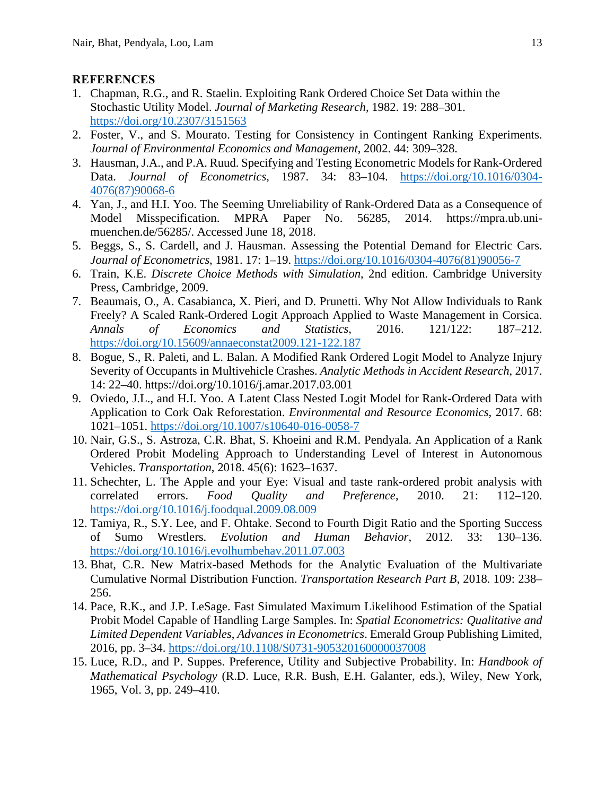#### **REFERENCES**

- 1. Chapman, R.G., and R. Staelin. Exploiting Rank Ordered Choice Set Data within the Stochastic Utility Model. *Journal of Marketing Research*, 1982. 19: 288–301. https://doi.org/10.2307/3151563
- 2. Foster, V., and S. Mourato. Testing for Consistency in Contingent Ranking Experiments. *Journal of Environmental Economics and Management*, 2002. 44: 309–328.
- 3. Hausman, J.A., and P.A. Ruud. Specifying and Testing Econometric Models for Rank-Ordered Data. *Journal of Econometrics*, 1987. 34: 83–104. https://doi.org/10.1016/0304- 4076(87)90068-6
- 4. Yan, J., and H.I. Yoo. The Seeming Unreliability of Rank-Ordered Data as a Consequence of Model Misspecification. MPRA Paper No. 56285, 2014. https://mpra.ub.unimuenchen.de/56285/. Accessed June 18, 2018.
- 5. Beggs, S., S. Cardell, and J. Hausman. Assessing the Potential Demand for Electric Cars. *Journal of Econometrics*, 1981. 17: 1–19. https://doi.org/10.1016/0304-4076(81)90056-7
- 6. Train, K.E. *Discrete Choice Methods with Simulation*, 2nd edition. Cambridge University Press, Cambridge, 2009.
- 7. Beaumais, O., A. Casabianca, X. Pieri, and D. Prunetti. Why Not Allow Individuals to Rank Freely? A Scaled Rank-Ordered Logit Approach Applied to Waste Management in Corsica. *Annals of Economics and Statistics*, 2016. 121/122: 187–212. https://doi.org/10.15609/annaeconstat2009.121-122.187
- 8. Bogue, S., R. Paleti, and L. Balan. A Modified Rank Ordered Logit Model to Analyze Injury Severity of Occupants in Multivehicle Crashes. *Analytic Methods in Accident Research*, 2017. 14: 22–40. https://doi.org/10.1016/j.amar.2017.03.001
- 9. Oviedo, J.L., and H.I. Yoo. A Latent Class Nested Logit Model for Rank-Ordered Data with Application to Cork Oak Reforestation. *Environmental and Resource Economics*, 2017. 68: 1021–1051. https://doi.org/10.1007/s10640-016-0058-7
- 10. Nair, G.S., S. Astroza, C.R. Bhat, S. Khoeini and R.M. Pendyala. An Application of a Rank Ordered Probit Modeling Approach to Understanding Level of Interest in Autonomous Vehicles. *Transportation*, 2018. 45(6): 1623–1637.
- 11. Schechter, L. The Apple and your Eye: Visual and taste rank-ordered probit analysis with correlated errors. *Food Quality and Preference*, 2010. 21: 112–120. https://doi.org/10.1016/j.foodqual.2009.08.009
- 12. Tamiya, R., S.Y. Lee, and F. Ohtake. Second to Fourth Digit Ratio and the Sporting Success of Sumo Wrestlers. *Evolution and Human Behavior*, 2012. 33: 130–136. https://doi.org/10.1016/j.evolhumbehav.2011.07.003
- 13. Bhat, C.R. New Matrix-based Methods for the Analytic Evaluation of the Multivariate Cumulative Normal Distribution Function. *Transportation Research Part B*, 2018. 109: 238– 256.
- 14. Pace, R.K., and J.P. LeSage. Fast Simulated Maximum Likelihood Estimation of the Spatial Probit Model Capable of Handling Large Samples. In: *Spatial Econometrics: Qualitative and Limited Dependent Variables*, *Advances in Econometrics*. Emerald Group Publishing Limited, 2016, pp. 3–34. https://doi.org/10.1108/S0731-905320160000037008
- 15. Luce, R.D., and P. Suppes. Preference, Utility and Subjective Probability. In: *Handbook of Mathematical Psychology* (R.D. Luce, R.R. Bush, E.H. Galanter, eds.), Wiley, New York, 1965, Vol. 3, pp. 249–410.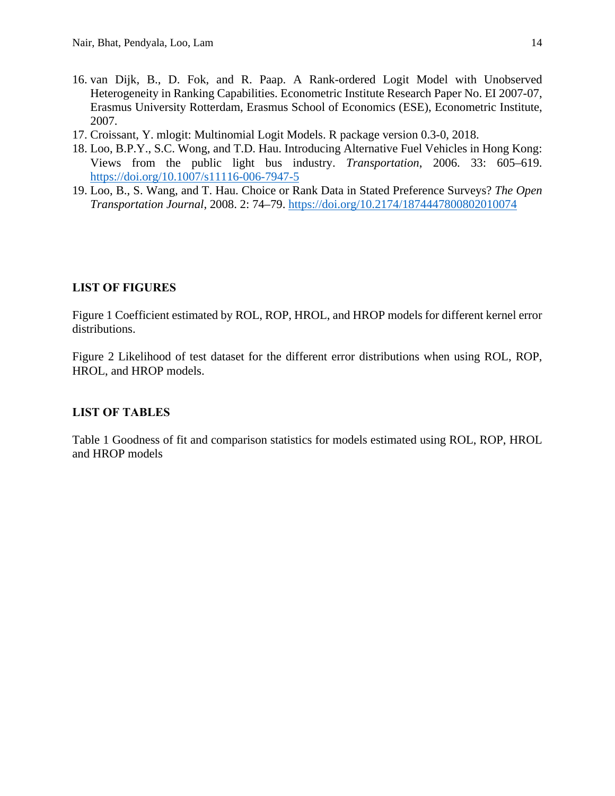- 16. van Dijk, B., D. Fok, and R. Paap. A Rank-ordered Logit Model with Unobserved Heterogeneity in Ranking Capabilities. Econometric Institute Research Paper No. EI 2007-07, Erasmus University Rotterdam, Erasmus School of Economics (ESE), Econometric Institute, 2007.
- 17. Croissant, Y. mlogit: Multinomial Logit Models. R package version 0.3-0, 2018.
- 18. Loo, B.P.Y., S.C. Wong, and T.D. Hau. Introducing Alternative Fuel Vehicles in Hong Kong: Views from the public light bus industry. *Transportation*, 2006. 33: 605–619. https://doi.org/10.1007/s11116-006-7947-5
- 19. Loo, B., S. Wang, and T. Hau. Choice or Rank Data in Stated Preference Surveys? *The Open Transportation Journal*, 2008. 2: 74–79. https://doi.org/10.2174/1874447800802010074

# **LIST OF FIGURES**

Figure 1 Coefficient estimated by ROL, ROP, HROL, and HROP models for different kernel error distributions.

Figure 2 Likelihood of test dataset for the different error distributions when using ROL, ROP, HROL, and HROP models.

# **LIST OF TABLES**

Table 1 Goodness of fit and comparison statistics for models estimated using ROL, ROP, HROL and HROP models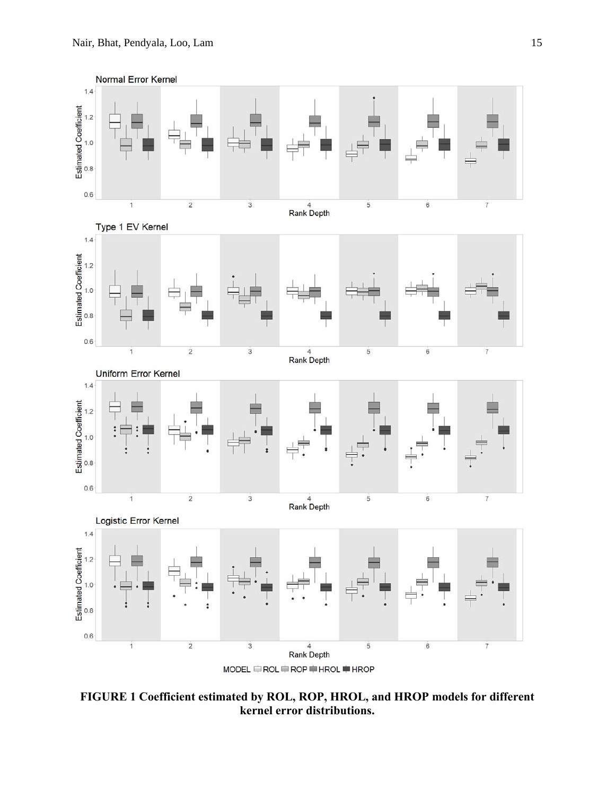

**FIGURE 1 Coefficient estimated by ROL, ROP, HROL, and HROP models for different kernel error distributions.**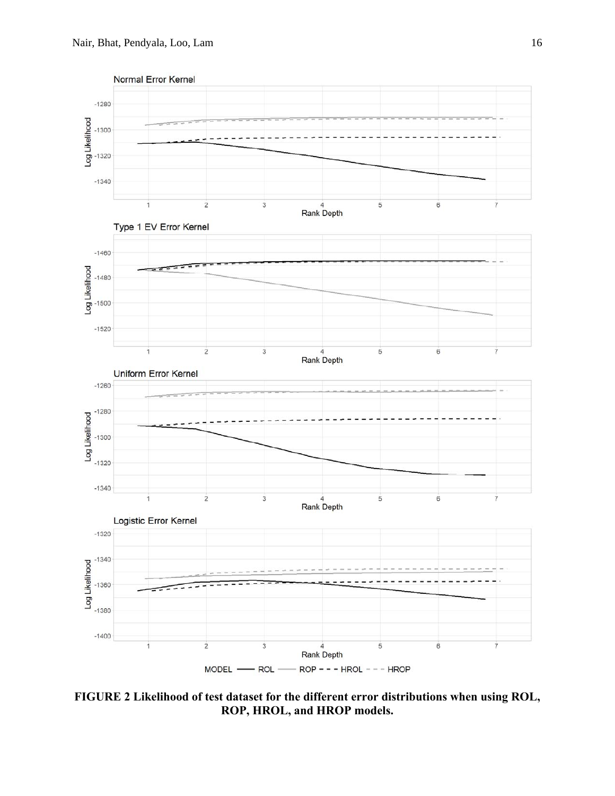

**FIGURE 2 Likelihood of test dataset for the different error distributions when using ROL, ROP, HROL, and HROP models.**